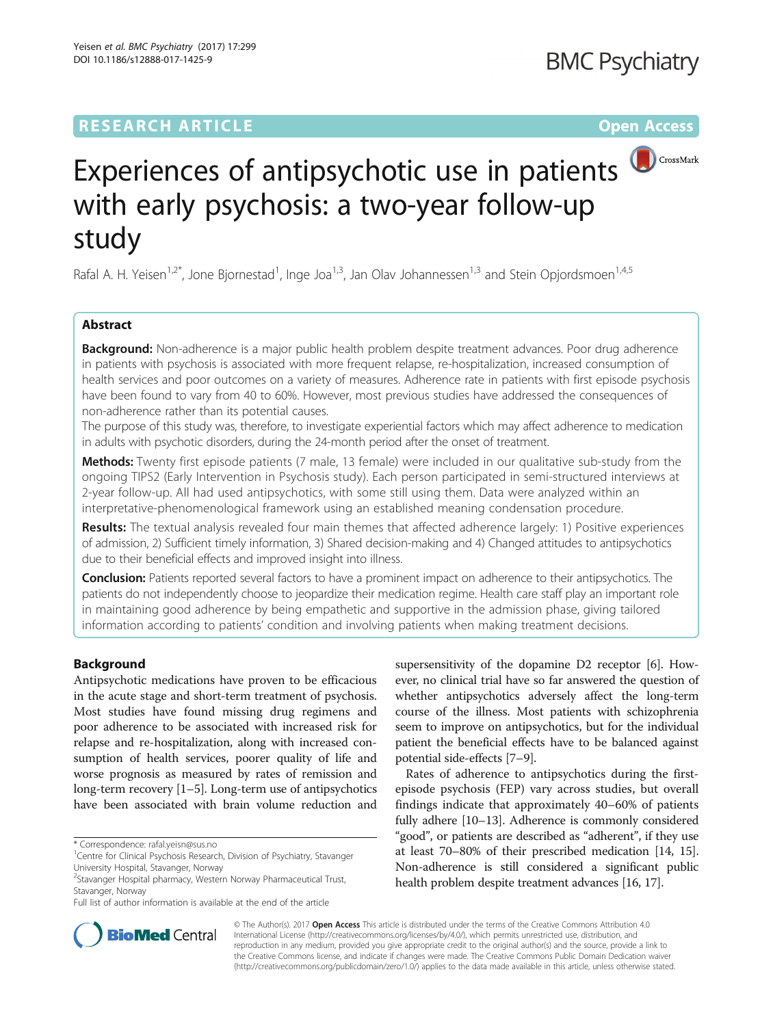# **RESEARCH ARTICLE External Structure Community Community Community Community Community Community Community Community**



# Experiences of antipsychotic use in patients with early psychosis: a two-year follow-up study

Rafal A. H. Yeisen<sup>1,2\*</sup>, Jone Bjornestad<sup>1</sup>, Inge Joa<sup>1,3</sup>, Jan Olav Johannessen<sup>1,3</sup> and Stein Opjordsmoen<sup>1,4,5</sup>

# Abstract

**Background:** Non-adherence is a major public health problem despite treatment advances. Poor drug adherence in patients with psychosis is associated with more frequent relapse, re-hospitalization, increased consumption of health services and poor outcomes on a variety of measures. Adherence rate in patients with first episode psychosis have been found to vary from 40 to 60%. However, most previous studies have addressed the consequences of non-adherence rather than its potential causes.

The purpose of this study was, therefore, to investigate experiential factors which may affect adherence to medication in adults with psychotic disorders, during the 24-month period after the onset of treatment.

Methods: Twenty first episode patients (7 male, 13 female) were included in our qualitative sub-study from the ongoing TIPS2 (Early Intervention in Psychosis study). Each person participated in semi-structured interviews at 2-year follow-up. All had used antipsychotics, with some still using them. Data were analyzed within an interpretative-phenomenological framework using an established meaning condensation procedure.

Results: The textual analysis revealed four main themes that affected adherence largely: 1) Positive experiences of admission, 2) Sufficient timely information, 3) Shared decision-making and 4) Changed attitudes to antipsychotics due to their beneficial effects and improved insight into illness.

**Conclusion:** Patients reported several factors to have a prominent impact on adherence to their antipsychotics. The patients do not independently choose to jeopardize their medication regime. Health care staff play an important role in maintaining good adherence by being empathetic and supportive in the admission phase, giving tailored information according to patients' condition and involving patients when making treatment decisions.

# Background

Antipsychotic medications have proven to be efficacious in the acute stage and short-term treatment of psychosis. Most studies have found missing drug regimens and poor adherence to be associated with increased risk for relapse and re-hospitalization, along with increased consumption of health services, poorer quality of life and worse prognosis as measured by rates of remission and long-term recovery [\[1](#page-8-0)–[5](#page-8-0)]. Long-term use of antipsychotics have been associated with brain volume reduction and

supersensitivity of the dopamine D2 receptor [\[6](#page-8-0)]. However, no clinical trial have so far answered the question of whether antipsychotics adversely affect the long-term course of the illness. Most patients with schizophrenia seem to improve on antipsychotics, but for the individual patient the beneficial effects have to be balanced against potential side-effects [[7](#page-8-0)–[9](#page-8-0)].

Rates of adherence to antipsychotics during the firstepisode psychosis (FEP) vary across studies, but overall findings indicate that approximately 40–60% of patients fully adhere [[10](#page-8-0)–[13\]](#page-8-0). Adherence is commonly considered "good", or patients are described as "adherent", if they use at least 70–80% of their prescribed medication [[14](#page-8-0), [15](#page-8-0)]. Non-adherence is still considered a significant public health problem despite treatment advances [\[16, 17](#page-8-0)].



© The Author(s). 2017 **Open Access** This article is distributed under the terms of the Creative Commons Attribution 4.0 International License [\(http://creativecommons.org/licenses/by/4.0/](http://creativecommons.org/licenses/by/4.0/)), which permits unrestricted use, distribution, and reproduction in any medium, provided you give appropriate credit to the original author(s) and the source, provide a link to the Creative Commons license, and indicate if changes were made. The Creative Commons Public Domain Dedication waiver [\(http://creativecommons.org/publicdomain/zero/1.0/](http://creativecommons.org/publicdomain/zero/1.0/)) applies to the data made available in this article, unless otherwise stated.

<sup>\*</sup> Correspondence: [rafal.yeisn@sus.no](mailto:rafal.yeisn@sus.no) <sup>1</sup>

<sup>&</sup>lt;sup>1</sup> Centre for Clinical Psychosis Research, Division of Psychiatry, Stavanger University Hospital, Stavanger, Norway

<sup>&</sup>lt;sup>2</sup>Stavanger Hospital pharmacy, Western Norway Pharmaceutical Trust,

Stavanger, Norway

Full list of author information is available at the end of the article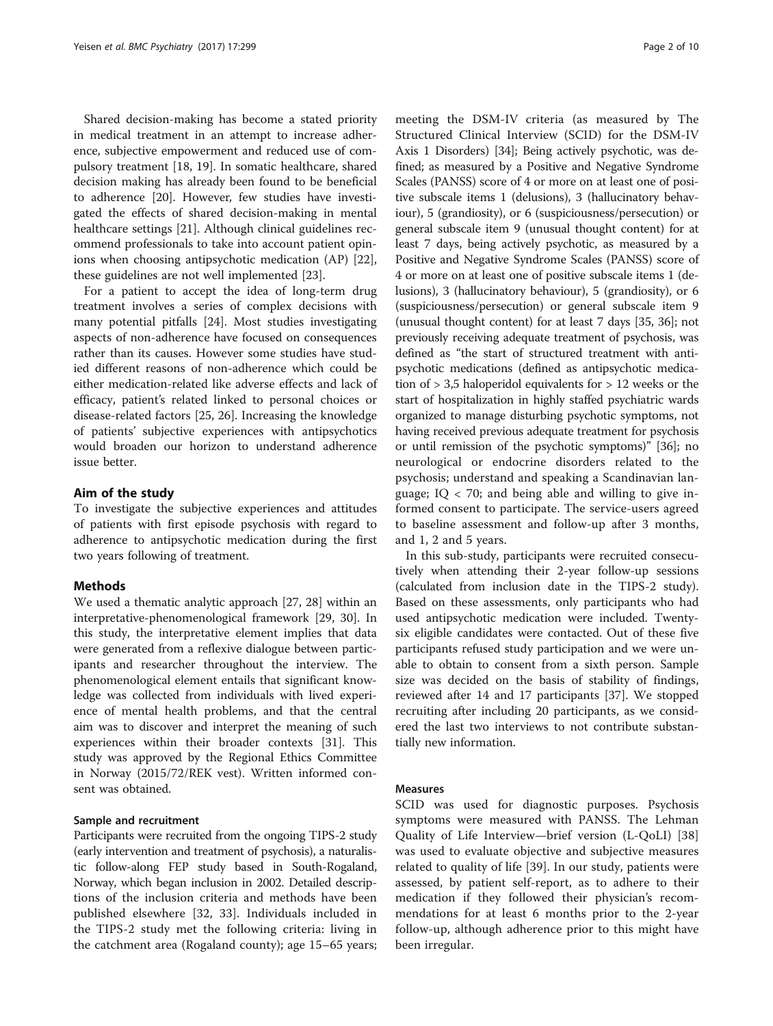Shared decision-making has become a stated priority in medical treatment in an attempt to increase adherence, subjective empowerment and reduced use of compulsory treatment [\[18](#page-8-0), [19](#page-8-0)]. In somatic healthcare, shared decision making has already been found to be beneficial to adherence [\[20](#page-8-0)]. However, few studies have investigated the effects of shared decision-making in mental healthcare settings [[21\]](#page-8-0). Although clinical guidelines recommend professionals to take into account patient opinions when choosing antipsychotic medication (AP) [\[22](#page-8-0)], these guidelines are not well implemented [[23\]](#page-8-0).

For a patient to accept the idea of long-term drug treatment involves a series of complex decisions with many potential pitfalls [[24\]](#page-8-0). Most studies investigating aspects of non-adherence have focused on consequences rather than its causes. However some studies have studied different reasons of non-adherence which could be either medication-related like adverse effects and lack of efficacy, patient's related linked to personal choices or disease-related factors [\[25, 26\]](#page-8-0). Increasing the knowledge of patients' subjective experiences with antipsychotics would broaden our horizon to understand adherence issue better.

#### Aim of the study

To investigate the subjective experiences and attitudes of patients with first episode psychosis with regard to adherence to antipsychotic medication during the first two years following of treatment.

# Methods

We used a thematic analytic approach [[27](#page-8-0), [28](#page-8-0)] within an interpretative-phenomenological framework [[29, 30](#page-8-0)]. In this study, the interpretative element implies that data were generated from a reflexive dialogue between participants and researcher throughout the interview. The phenomenological element entails that significant knowledge was collected from individuals with lived experience of mental health problems, and that the central aim was to discover and interpret the meaning of such experiences within their broader contexts [[31\]](#page-8-0). This study was approved by the Regional Ethics Committee in Norway (2015/72/REK vest). Written informed consent was obtained.

# Sample and recruitment

Participants were recruited from the ongoing TIPS-2 study (early intervention and treatment of psychosis), a naturalistic follow-along FEP study based in South-Rogaland, Norway, which began inclusion in 2002. Detailed descriptions of the inclusion criteria and methods have been published elsewhere [[32, 33](#page-8-0)]. Individuals included in the TIPS-2 study met the following criteria: living in the catchment area (Rogaland county); age 15–65 years; meeting the DSM-IV criteria (as measured by The Structured Clinical Interview (SCID) for the DSM-IV Axis 1 Disorders) [\[34\]](#page-8-0); Being actively psychotic, was defined; as measured by a Positive and Negative Syndrome Scales (PANSS) score of 4 or more on at least one of positive subscale items 1 (delusions), 3 (hallucinatory behaviour), 5 (grandiosity), or 6 (suspiciousness/persecution) or general subscale item 9 (unusual thought content) for at least 7 days, being actively psychotic, as measured by a Positive and Negative Syndrome Scales (PANSS) score of 4 or more on at least one of positive subscale items 1 (delusions), 3 (hallucinatory behaviour), 5 (grandiosity), or 6 (suspiciousness/persecution) or general subscale item 9 (unusual thought content) for at least 7 days [\[35, 36\]](#page-8-0); not previously receiving adequate treatment of psychosis, was defined as "the start of structured treatment with antipsychotic medications (defined as antipsychotic medication of > 3,5 haloperidol equivalents for > 12 weeks or the start of hospitalization in highly staffed psychiatric wards organized to manage disturbing psychotic symptoms, not having received previous adequate treatment for psychosis or until remission of the psychotic symptoms)" [\[36\]](#page-8-0); no neurological or endocrine disorders related to the psychosis; understand and speaking a Scandinavian language;  $IQ < 70$ ; and being able and willing to give informed consent to participate. The service-users agreed to baseline assessment and follow-up after 3 months, and 1, 2 and 5 years.

In this sub-study, participants were recruited consecutively when attending their 2-year follow-up sessions (calculated from inclusion date in the TIPS-2 study). Based on these assessments, only participants who had used antipsychotic medication were included. Twentysix eligible candidates were contacted. Out of these five participants refused study participation and we were unable to obtain to consent from a sixth person. Sample size was decided on the basis of stability of findings, reviewed after 14 and 17 participants [\[37\]](#page-8-0). We stopped recruiting after including 20 participants, as we considered the last two interviews to not contribute substantially new information.

#### Measures

SCID was used for diagnostic purposes. Psychosis symptoms were measured with PANSS. The Lehman Quality of Life Interview—brief version (L-QoLI) [\[38](#page-8-0)] was used to evaluate objective and subjective measures related to quality of life [\[39](#page-8-0)]. In our study, patients were assessed, by patient self-report, as to adhere to their medication if they followed their physician's recommendations for at least 6 months prior to the 2-year follow-up, although adherence prior to this might have been irregular.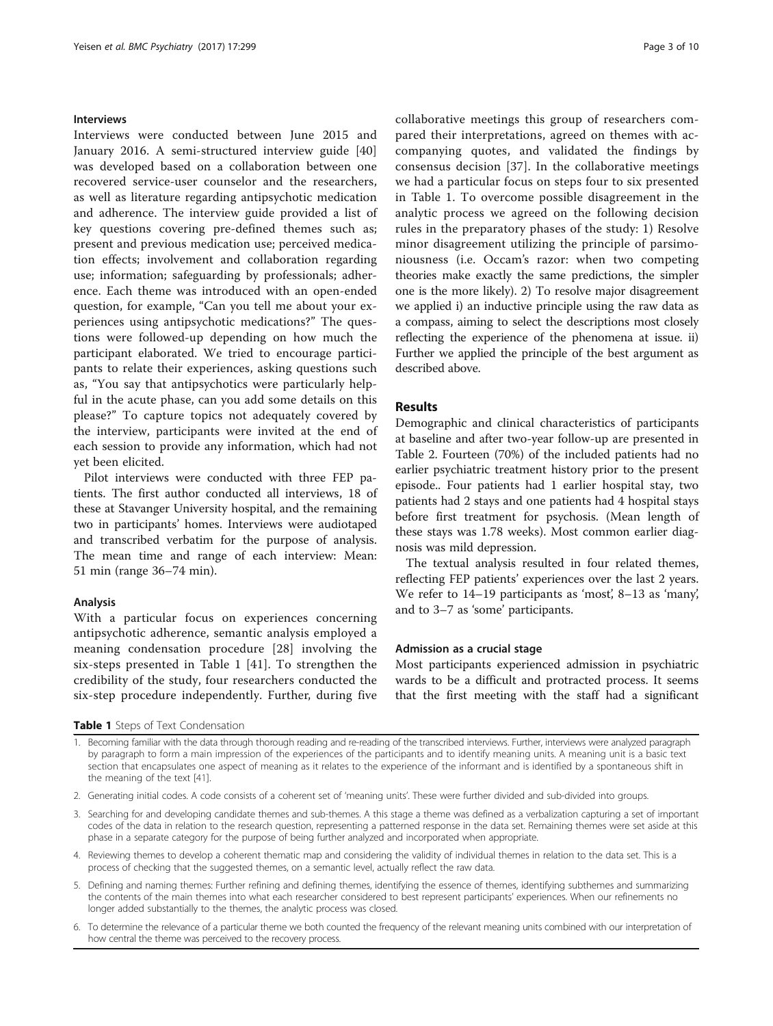## Interviews

Interviews were conducted between June 2015 and January 2016. A semi-structured interview guide [\[40](#page-9-0)] was developed based on a collaboration between one recovered service-user counselor and the researchers, as well as literature regarding antipsychotic medication and adherence. The interview guide provided a list of key questions covering pre-defined themes such as; present and previous medication use; perceived medication effects; involvement and collaboration regarding use; information; safeguarding by professionals; adherence. Each theme was introduced with an open-ended question, for example, "Can you tell me about your experiences using antipsychotic medications?" The questions were followed-up depending on how much the participant elaborated. We tried to encourage participants to relate their experiences, asking questions such as, "You say that antipsychotics were particularly helpful in the acute phase, can you add some details on this please?" To capture topics not adequately covered by the interview, participants were invited at the end of each session to provide any information, which had not yet been elicited.

Pilot interviews were conducted with three FEP patients. The first author conducted all interviews, 18 of these at Stavanger University hospital, and the remaining two in participants' homes. Interviews were audiotaped and transcribed verbatim for the purpose of analysis. The mean time and range of each interview: Mean: 51 min (range 36–74 min).

#### Analysis

With a particular focus on experiences concerning antipsychotic adherence, semantic analysis employed a meaning condensation procedure [[28](#page-8-0)] involving the six-steps presented in Table 1 [[41](#page-9-0)]. To strengthen the credibility of the study, four researchers conducted the six-step procedure independently. Further, during five

collaborative meetings this group of researchers compared their interpretations, agreed on themes with accompanying quotes, and validated the findings by consensus decision [\[37](#page-8-0)]. In the collaborative meetings we had a particular focus on steps four to six presented in Table 1. To overcome possible disagreement in the analytic process we agreed on the following decision rules in the preparatory phases of the study: 1) Resolve minor disagreement utilizing the principle of parsimoniousness (i.e. Occam's razor: when two competing theories make exactly the same predictions, the simpler one is the more likely). 2) To resolve major disagreement we applied i) an inductive principle using the raw data as a compass, aiming to select the descriptions most closely reflecting the experience of the phenomena at issue. ii) Further we applied the principle of the best argument as described above.

# Results

Demographic and clinical characteristics of participants at baseline and after two-year follow-up are presented in Table [2](#page-3-0). Fourteen (70%) of the included patients had no earlier psychiatric treatment history prior to the present episode.. Four patients had 1 earlier hospital stay, two patients had 2 stays and one patients had 4 hospital stays before first treatment for psychosis. (Mean length of these stays was 1.78 weeks). Most common earlier diagnosis was mild depression.

The textual analysis resulted in four related themes, reflecting FEP patients' experiences over the last 2 years. We refer to 14–19 participants as 'most', 8–13 as 'many', and to 3–7 as 'some' participants.

#### Admission as a crucial stage

Most participants experienced admission in psychiatric wards to be a difficult and protracted process. It seems that the first meeting with the staff had a significant

**Table 1** Steps of Text Condensation

- 2. Generating initial codes. A code consists of a coherent set of 'meaning units'. These were further divided and sub-divided into groups.
- 3. Searching for and developing candidate themes and sub-themes. A this stage a theme was defined as a verbalization capturing a set of important codes of the data in relation to the research question, representing a patterned response in the data set. Remaining themes were set aside at this phase in a separate category for the purpose of being further analyzed and incorporated when appropriate.
- 4. Reviewing themes to develop a coherent thematic map and considering the validity of individual themes in relation to the data set. This is a process of checking that the suggested themes, on a semantic level, actually reflect the raw data.
- 5. Defining and naming themes: Further refining and defining themes, identifying the essence of themes, identifying subthemes and summarizing the contents of the main themes into what each researcher considered to best represent participants' experiences. When our refinements no longer added substantially to the themes, the analytic process was closed.
- 6. To determine the relevance of a particular theme we both counted the frequency of the relevant meaning units combined with our interpretation of how central the theme was perceived to the recovery process.

Becoming familiar with the data through thorough reading and re-reading of the transcribed interviews. Further, interviews were analyzed paragraph by paragraph to form a main impression of the experiences of the participants and to identify meaning units. A meaning unit is a basic text section that encapsulates one aspect of meaning as it relates to the experience of the informant and is identified by a spontaneous shift in the meaning of the text [\[41](#page-9-0)].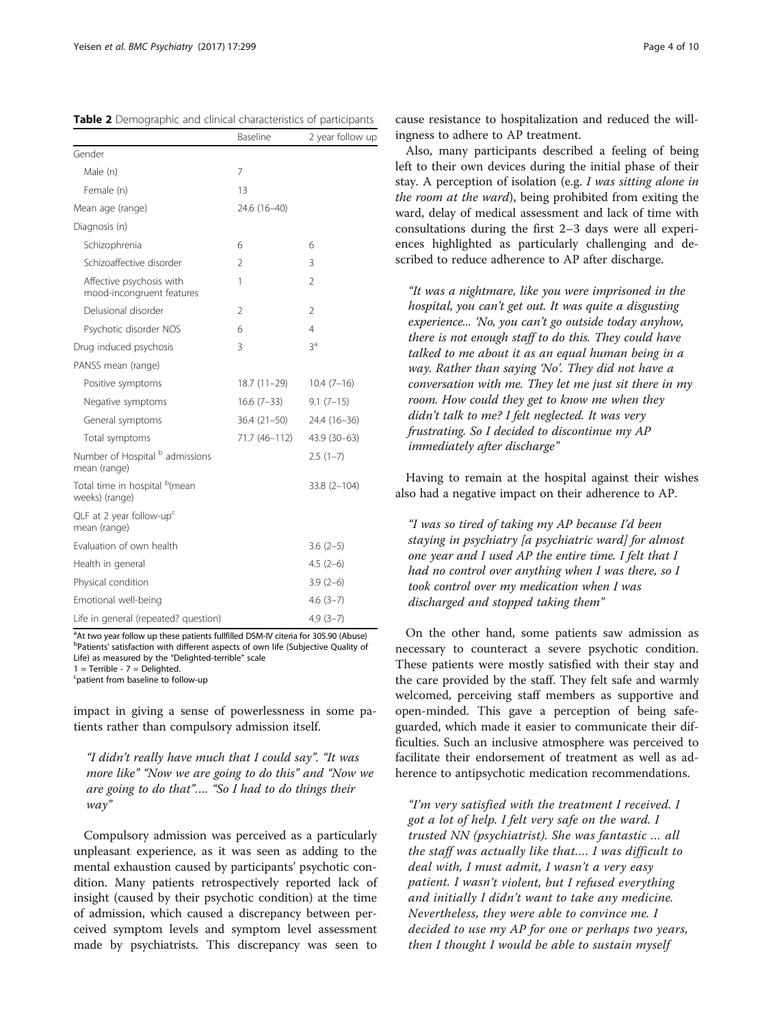<span id="page-3-0"></span>

| Table 2 Demographic and clinical characteristics of participants |                |                  |
|------------------------------------------------------------------|----------------|------------------|
|                                                                  | Baseline       | 2 year follow up |
| Gender                                                           |                |                  |
| Male (n)                                                         | 7              |                  |
| Female (n)                                                       | 13             |                  |
| Mean age (range)                                                 | 24.6 (16-40)   |                  |
| Diagnosis (n)                                                    |                |                  |
| Schizophrenia                                                    | 6              | 6                |
| Schizoaffective disorder                                         | $\mathfrak{D}$ | 3                |
| Affective psychosis with<br>mood-incongruent features            | 1              | $\overline{2}$   |
| Delusional disorder                                              | 2              | 2                |
| Psychotic disorder NOS                                           | 6              | 4                |
| Drug induced psychosis                                           | 3              | zθ               |
| PANSS mean (range)                                               |                |                  |
| Positive symptoms                                                | $18.7(11-29)$  | $10.4(7-16)$     |
| Negative symptoms                                                | $16.6(7-33)$   | $9.1(7-15)$      |
| General symptoms                                                 | $36.4(21-50)$  | 24.4 (16-36)     |
| Total symptoms                                                   | 71.7 (46-112)  | 43.9 (30-63)     |
| Number of Hospital b admissions<br>mean (range)                  |                | $2.5(1-7)$       |
| Total time in hospital <sup>b</sup> (mean<br>weeks) (range)      |                | $33.8(2 - 104)$  |
| QLF at 2 year follow-up <sup>c</sup><br>mean (range)             |                |                  |
| Evaluation of own health                                         |                | $3.6(2-5)$       |
| Health in general                                                |                | $4.5(2-6)$       |
| Physical condition                                               |                | $3.9(2-6)$       |
| Emotional well-being                                             |                | $4.6(3-7)$       |
| Life in general (repeated? question)                             |                | $4.9(3 - 7)$     |

<sup>a</sup>At two year follow up these patients fullfilled DSM-IV citeria for 305.90 (Abuse) <sup>b</sup>Patients' satisfaction with different aspects of own life (Subjective Quality of Life) as measured by the "Delighted-terrible" scale  $1 =$  Terrible -  $7 =$  Delighted.

<sup>c</sup>patient from baseline to follow-up

impact in giving a sense of powerlessness in some patients rather than compulsory admission itself.

"I didn't really have much that I could say". "It was more like" "Now we are going to do this" and "Now we are going to do that"…. "So I had to do things their way"

Compulsory admission was perceived as a particularly unpleasant experience, as it was seen as adding to the mental exhaustion caused by participants' psychotic condition. Many patients retrospectively reported lack of insight (caused by their psychotic condition) at the time of admission, which caused a discrepancy between perceived symptom levels and symptom level assessment made by psychiatrists. This discrepancy was seen to

Also, many participants described a feeling of being left to their own devices during the initial phase of their stay. A perception of isolation (e.g. I was sitting alone in the room at the ward), being prohibited from exiting the ward, delay of medical assessment and lack of time with consultations during the first 2–3 days were all experiences highlighted as particularly challenging and described to reduce adherence to AP after discharge.

"It was a nightmare, like you were imprisoned in the hospital, you can't get out. It was quite a disgusting experience... 'No, you can't go outside today anyhow, there is not enough staff to do this. They could have talked to me about it as an equal human being in a way. Rather than saying 'No'. They did not have a conversation with me. They let me just sit there in my room. How could they get to know me when they didn't talk to me? I felt neglected. It was very frustrating. So I decided to discontinue my AP immediately after discharge"

Having to remain at the hospital against their wishes also had a negative impact on their adherence to AP.

"I was so tired of taking my AP because I'd been staying in psychiatry [a psychiatric ward] for almost one year and I used AP the entire time. I felt that I had no control over anything when I was there, so I took control over my medication when I was discharged and stopped taking them"

On the other hand, some patients saw admission as necessary to counteract a severe psychotic condition. These patients were mostly satisfied with their stay and the care provided by the staff. They felt safe and warmly welcomed, perceiving staff members as supportive and open-minded. This gave a perception of being safeguarded, which made it easier to communicate their difficulties. Such an inclusive atmosphere was perceived to facilitate their endorsement of treatment as well as adherence to antipsychotic medication recommendations.

"I'm very satisfied with the treatment I received. I got a lot of help. I felt very safe on the ward. I trusted NN (psychiatrist). She was fantastic … all the staff was actually like that…. I was difficult to deal with, I must admit, I wasn't a very easy patient. I wasn't violent, but I refused everything and initially I didn't want to take any medicine. Nevertheless, they were able to convince me. I decided to use my AP for one or perhaps two years, then I thought I would be able to sustain myself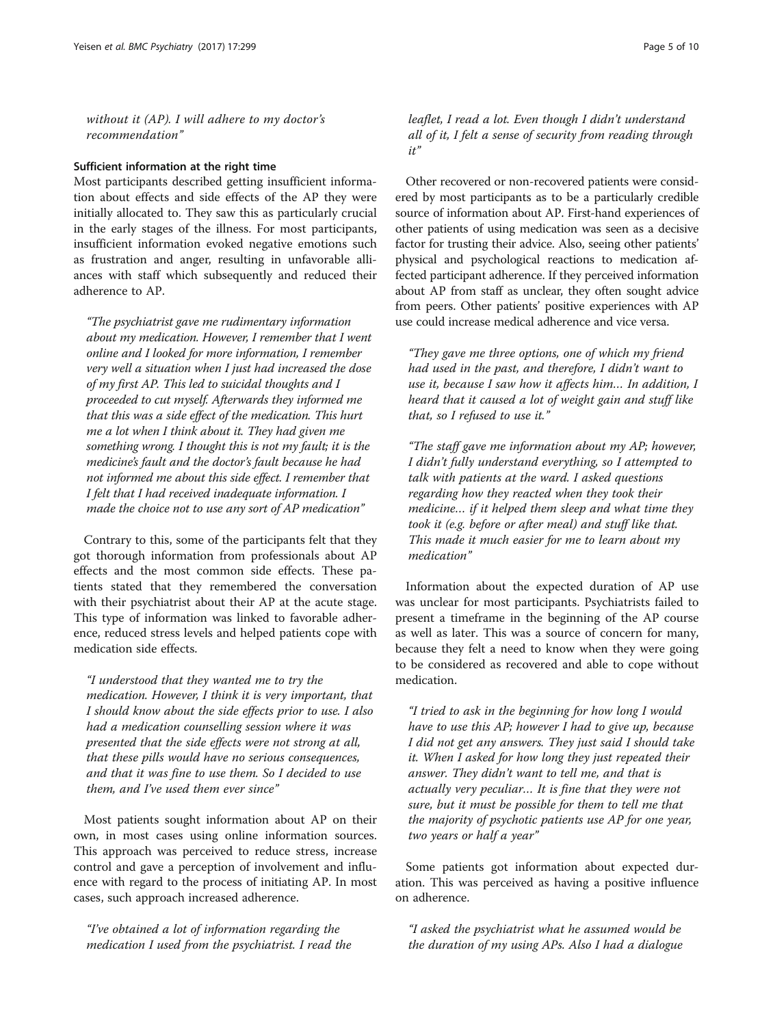without it (AP). I will adhere to my doctor's recommendation"

#### Sufficient information at the right time

Most participants described getting insufficient information about effects and side effects of the AP they were initially allocated to. They saw this as particularly crucial in the early stages of the illness. For most participants, insufficient information evoked negative emotions such as frustration and anger, resulting in unfavorable alliances with staff which subsequently and reduced their adherence to AP.

"The psychiatrist gave me rudimentary information about my medication. However, I remember that I went online and I looked for more information, I remember very well a situation when I just had increased the dose of my first AP. This led to suicidal thoughts and I proceeded to cut myself. Afterwards they informed me that this was a side effect of the medication. This hurt me a lot when I think about it. They had given me something wrong. I thought this is not my fault; it is the medicine's fault and the doctor's fault because he had not informed me about this side effect. I remember that I felt that I had received inadequate information. I made the choice not to use any sort of AP medication"

Contrary to this, some of the participants felt that they got thorough information from professionals about AP effects and the most common side effects. These patients stated that they remembered the conversation with their psychiatrist about their AP at the acute stage. This type of information was linked to favorable adherence, reduced stress levels and helped patients cope with medication side effects.

"I understood that they wanted me to try the medication. However, I think it is very important, that I should know about the side effects prior to use. I also had a medication counselling session where it was presented that the side effects were not strong at all, that these pills would have no serious consequences, and that it was fine to use them. So I decided to use them, and I've used them ever since"

Most patients sought information about AP on their own, in most cases using online information sources. This approach was perceived to reduce stress, increase control and gave a perception of involvement and influence with regard to the process of initiating AP. In most cases, such approach increased adherence.

"I've obtained a lot of information regarding the medication I used from the psychiatrist. I read the leaflet, I read a lot. Even though I didn't understand all of it, I felt a sense of security from reading through it"

Other recovered or non-recovered patients were considered by most participants as to be a particularly credible source of information about AP. First-hand experiences of other patients of using medication was seen as a decisive factor for trusting their advice. Also, seeing other patients' physical and psychological reactions to medication affected participant adherence. If they perceived information about AP from staff as unclear, they often sought advice from peers. Other patients' positive experiences with AP use could increase medical adherence and vice versa.

"They gave me three options, one of which my friend had used in the past, and therefore, I didn't want to use it, because I saw how it affects him… In addition, I heard that it caused a lot of weight gain and stuff like that, so I refused to use it."

"The staff gave me information about my AP; however, I didn't fully understand everything, so I attempted to talk with patients at the ward. I asked questions regarding how they reacted when they took their medicine… if it helped them sleep and what time they took it (e.g. before or after meal) and stuff like that. This made it much easier for me to learn about my medication"

Information about the expected duration of AP use was unclear for most participants. Psychiatrists failed to present a timeframe in the beginning of the AP course as well as later. This was a source of concern for many, because they felt a need to know when they were going to be considered as recovered and able to cope without medication.

"I tried to ask in the beginning for how long I would have to use this AP; however I had to give up, because I did not get any answers. They just said I should take it. When I asked for how long they just repeated their answer. They didn't want to tell me, and that is actually very peculiar… It is fine that they were not sure, but it must be possible for them to tell me that the majority of psychotic patients use AP for one year, two years or half a year"

Some patients got information about expected duration. This was perceived as having a positive influence on adherence.

"I asked the psychiatrist what he assumed would be the duration of my using APs. Also I had a dialogue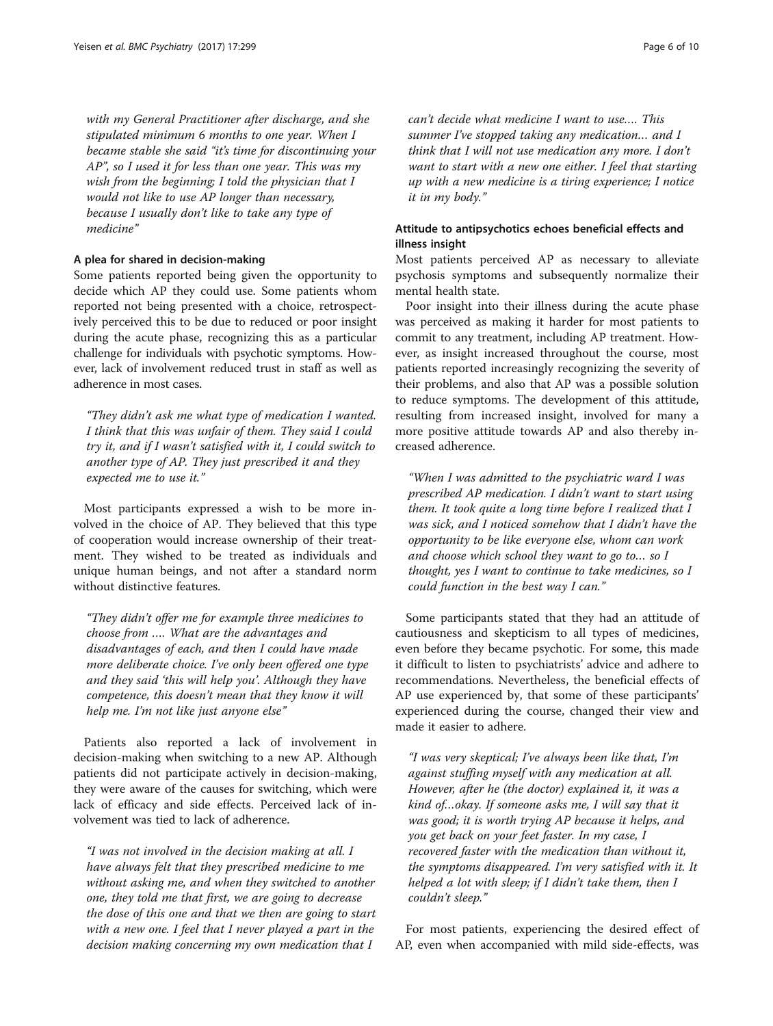with my General Practitioner after discharge, and she stipulated minimum 6 months to one year. When I became stable she said "it's time for discontinuing your  $AP$ ", so I used it for less than one year. This was my wish from the beginning; I told the physician that I would not like to use AP longer than necessary, because I usually don't like to take any type of medicine"

# A plea for shared in decision-making

Some patients reported being given the opportunity to decide which AP they could use. Some patients whom reported not being presented with a choice, retrospectively perceived this to be due to reduced or poor insight during the acute phase, recognizing this as a particular challenge for individuals with psychotic symptoms. However, lack of involvement reduced trust in staff as well as adherence in most cases.

"They didn't ask me what type of medication I wanted. I think that this was unfair of them. They said I could try it, and if I wasn't satisfied with it, I could switch to another type of AP. They just prescribed it and they expected me to use it."

Most participants expressed a wish to be more involved in the choice of AP. They believed that this type of cooperation would increase ownership of their treatment. They wished to be treated as individuals and unique human beings, and not after a standard norm without distinctive features.

"They didn't offer me for example three medicines to choose from …. What are the advantages and disadvantages of each, and then I could have made more deliberate choice. I've only been offered one type and they said 'this will help you'. Although they have competence, this doesn't mean that they know it will help me. I'm not like just anyone else"

Patients also reported a lack of involvement in decision-making when switching to a new AP. Although patients did not participate actively in decision-making, they were aware of the causes for switching, which were lack of efficacy and side effects. Perceived lack of involvement was tied to lack of adherence.

"I was not involved in the decision making at all. I have always felt that they prescribed medicine to me without asking me, and when they switched to another one, they told me that first, we are going to decrease the dose of this one and that we then are going to start with a new one. I feel that I never played a part in the decision making concerning my own medication that I

can't decide what medicine I want to use…. This summer I've stopped taking any medication… and I think that I will not use medication any more. I don't want to start with a new one either. I feel that starting up with a new medicine is a tiring experience; I notice it in my body."

# Attitude to antipsychotics echoes beneficial effects and illness insight

Most patients perceived AP as necessary to alleviate psychosis symptoms and subsequently normalize their mental health state.

Poor insight into their illness during the acute phase was perceived as making it harder for most patients to commit to any treatment, including AP treatment. However, as insight increased throughout the course, most patients reported increasingly recognizing the severity of their problems, and also that AP was a possible solution to reduce symptoms. The development of this attitude, resulting from increased insight, involved for many a more positive attitude towards AP and also thereby increased adherence.

"When I was admitted to the psychiatric ward I was prescribed AP medication. I didn't want to start using them. It took quite a long time before I realized that I was sick, and I noticed somehow that I didn't have the opportunity to be like everyone else, whom can work and choose which school they want to go to… so I thought, yes I want to continue to take medicines, so I could function in the best way I can."

Some participants stated that they had an attitude of cautiousness and skepticism to all types of medicines, even before they became psychotic. For some, this made it difficult to listen to psychiatrists' advice and adhere to recommendations. Nevertheless, the beneficial effects of AP use experienced by, that some of these participants' experienced during the course, changed their view and made it easier to adhere.

"I was very skeptical; I've always been like that, I'm against stuffing myself with any medication at all. However, after he (the doctor) explained it, it was a kind of…okay. If someone asks me, I will say that it was good; it is worth trying AP because it helps, and you get back on your feet faster. In my case, I recovered faster with the medication than without it, the symptoms disappeared. I'm very satisfied with it. It helped a lot with sleep; if I didn't take them, then I couldn't sleep."

For most patients, experiencing the desired effect of AP, even when accompanied with mild side-effects, was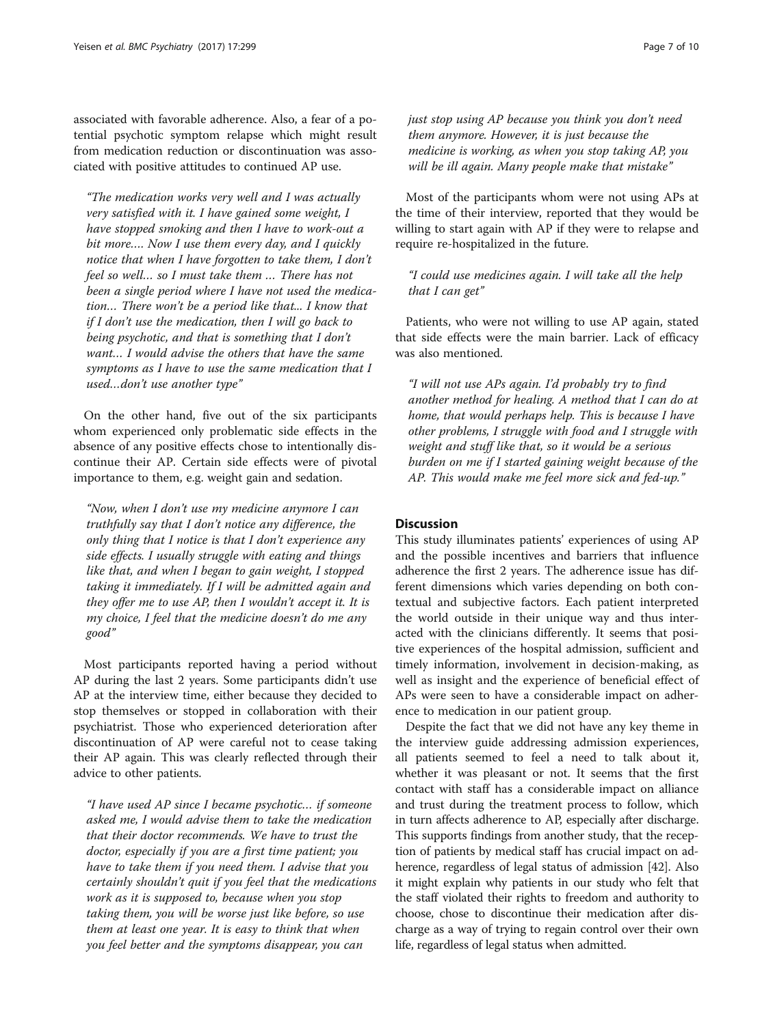associated with favorable adherence. Also, a fear of a potential psychotic symptom relapse which might result from medication reduction or discontinuation was associated with positive attitudes to continued AP use.

"The medication works very well and I was actually very satisfied with it. I have gained some weight, I have stopped smoking and then I have to work-out a bit more…. Now I use them every day, and I quickly notice that when I have forgotten to take them, I don't feel so well… so I must take them … There has not been a single period where I have not used the medication… There won't be a period like that... I know that if I don't use the medication, then I will go back to being psychotic, and that is something that I don't want… I would advise the others that have the same symptoms as I have to use the same medication that I used…don't use another type"

On the other hand, five out of the six participants whom experienced only problematic side effects in the absence of any positive effects chose to intentionally discontinue their AP. Certain side effects were of pivotal importance to them, e.g. weight gain and sedation.

"Now, when I don't use my medicine anymore I can truthfully say that I don't notice any difference, the only thing that I notice is that I don't experience any side effects. I usually struggle with eating and things like that, and when I began to gain weight, I stopped taking it immediately. If I will be admitted again and they offer me to use AP, then I wouldn't accept it. It is my choice, I feel that the medicine doesn't do me any good"

Most participants reported having a period without AP during the last 2 years. Some participants didn't use AP at the interview time, either because they decided to stop themselves or stopped in collaboration with their psychiatrist. Those who experienced deterioration after discontinuation of AP were careful not to cease taking their AP again. This was clearly reflected through their advice to other patients.

"I have used AP since I became psychotic… if someone asked me, I would advise them to take the medication that their doctor recommends. We have to trust the doctor, especially if you are a first time patient; you have to take them if you need them. I advise that you certainly shouldn't quit if you feel that the medications work as it is supposed to, because when you stop taking them, you will be worse just like before, so use them at least one year. It is easy to think that when you feel better and the symptoms disappear, you can

just stop using AP because you think you don't need them anymore. However, it is just because the medicine is working, as when you stop taking AP, you will be ill again. Many people make that mistake"

Most of the participants whom were not using APs at the time of their interview, reported that they would be willing to start again with AP if they were to relapse and require re-hospitalized in the future.

"I could use medicines again. I will take all the help that I can get"

Patients, who were not willing to use AP again, stated that side effects were the main barrier. Lack of efficacy was also mentioned.

"I will not use APs again. I'd probably try to find another method for healing. A method that I can do at home, that would perhaps help. This is because I have other problems, I struggle with food and I struggle with weight and stuff like that, so it would be a serious burden on me if I started gaining weight because of the AP. This would make me feel more sick and fed-up."

# **Discussion**

This study illuminates patients' experiences of using AP and the possible incentives and barriers that influence adherence the first 2 years. The adherence issue has different dimensions which varies depending on both contextual and subjective factors. Each patient interpreted the world outside in their unique way and thus interacted with the clinicians differently. It seems that positive experiences of the hospital admission, sufficient and timely information, involvement in decision-making, as well as insight and the experience of beneficial effect of APs were seen to have a considerable impact on adherence to medication in our patient group.

Despite the fact that we did not have any key theme in the interview guide addressing admission experiences, all patients seemed to feel a need to talk about it, whether it was pleasant or not. It seems that the first contact with staff has a considerable impact on alliance and trust during the treatment process to follow, which in turn affects adherence to AP, especially after discharge. This supports findings from another study, that the reception of patients by medical staff has crucial impact on adherence, regardless of legal status of admission [\[42\]](#page-9-0). Also it might explain why patients in our study who felt that the staff violated their rights to freedom and authority to choose, chose to discontinue their medication after discharge as a way of trying to regain control over their own life, regardless of legal status when admitted.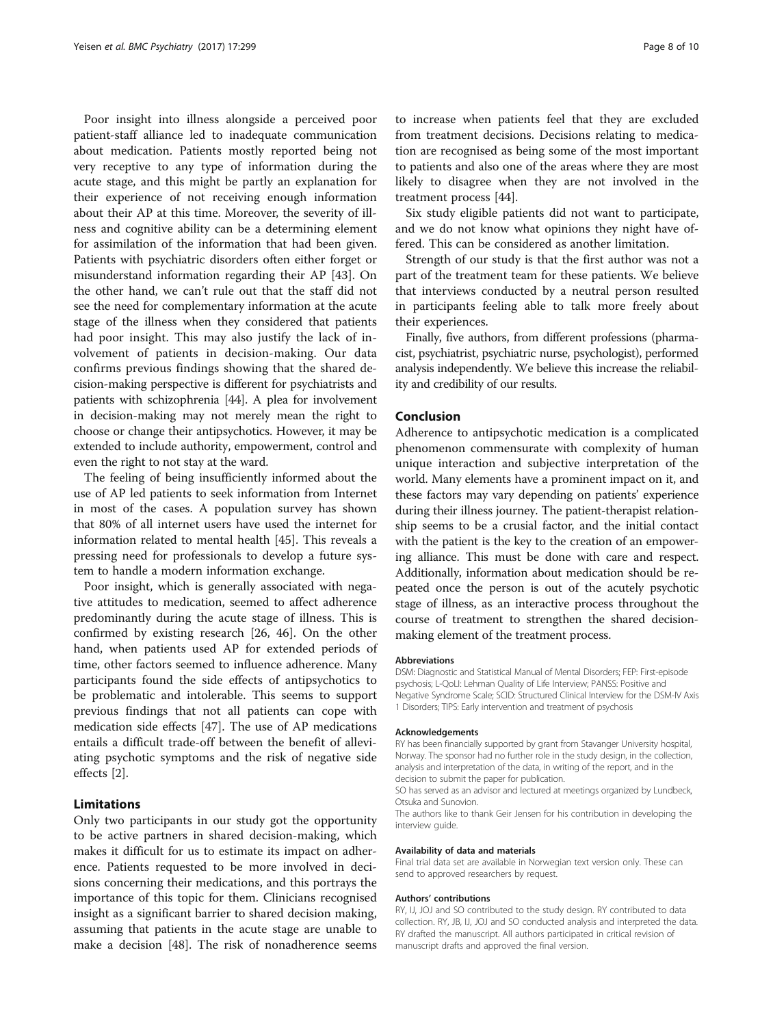Poor insight into illness alongside a perceived poor patient-staff alliance led to inadequate communication about medication. Patients mostly reported being not very receptive to any type of information during the acute stage, and this might be partly an explanation for their experience of not receiving enough information about their AP at this time. Moreover, the severity of illness and cognitive ability can be a determining element for assimilation of the information that had been given. Patients with psychiatric disorders often either forget or misunderstand information regarding their AP [\[43](#page-9-0)]. On the other hand, we can't rule out that the staff did not see the need for complementary information at the acute stage of the illness when they considered that patients had poor insight. This may also justify the lack of involvement of patients in decision-making. Our data confirms previous findings showing that the shared decision-making perspective is different for psychiatrists and patients with schizophrenia [\[44\]](#page-9-0). A plea for involvement in decision-making may not merely mean the right to choose or change their antipsychotics. However, it may be extended to include authority, empowerment, control and even the right to not stay at the ward.

The feeling of being insufficiently informed about the use of AP led patients to seek information from Internet in most of the cases. A population survey has shown that 80% of all internet users have used the internet for information related to mental health [[45\]](#page-9-0). This reveals a pressing need for professionals to develop a future system to handle a modern information exchange.

Poor insight, which is generally associated with negative attitudes to medication, seemed to affect adherence predominantly during the acute stage of illness. This is confirmed by existing research [\[26](#page-8-0), [46\]](#page-9-0). On the other hand, when patients used AP for extended periods of time, other factors seemed to influence adherence. Many participants found the side effects of antipsychotics to be problematic and intolerable. This seems to support previous findings that not all patients can cope with medication side effects [\[47\]](#page-9-0). The use of AP medications entails a difficult trade-off between the benefit of alleviating psychotic symptoms and the risk of negative side effects [[2\]](#page-8-0).

# Limitations

Only two participants in our study got the opportunity to be active partners in shared decision-making, which makes it difficult for us to estimate its impact on adherence. Patients requested to be more involved in decisions concerning their medications, and this portrays the importance of this topic for them. Clinicians recognised insight as a significant barrier to shared decision making, assuming that patients in the acute stage are unable to make a decision [[48](#page-9-0)]. The risk of nonadherence seems to increase when patients feel that they are excluded from treatment decisions. Decisions relating to medication are recognised as being some of the most important to patients and also one of the areas where they are most likely to disagree when they are not involved in the treatment process [\[44\]](#page-9-0).

Six study eligible patients did not want to participate, and we do not know what opinions they night have offered. This can be considered as another limitation.

Strength of our study is that the first author was not a part of the treatment team for these patients. We believe that interviews conducted by a neutral person resulted in participants feeling able to talk more freely about their experiences.

Finally, five authors, from different professions (pharmacist, psychiatrist, psychiatric nurse, psychologist), performed analysis independently. We believe this increase the reliability and credibility of our results.

#### Conclusion

Adherence to antipsychotic medication is a complicated phenomenon commensurate with complexity of human unique interaction and subjective interpretation of the world. Many elements have a prominent impact on it, and these factors may vary depending on patients' experience during their illness journey. The patient-therapist relationship seems to be a crusial factor, and the initial contact with the patient is the key to the creation of an empowering alliance. This must be done with care and respect. Additionally, information about medication should be repeated once the person is out of the acutely psychotic stage of illness, as an interactive process throughout the course of treatment to strengthen the shared decisionmaking element of the treatment process.

#### Abbreviations

DSM: Diagnostic and Statistical Manual of Mental Disorders; FEP: First-episode psychosis; L-QoLI: Lehman Quality of Life Interview; PANSS: Positive and Negative Syndrome Scale; SCID: Structured Clinical Interview for the DSM-IV Axis 1 Disorders; TIPS: Early intervention and treatment of psychosis

#### Acknowledgements

RY has been financially supported by grant from Stavanger University hospital, Norway. The sponsor had no further role in the study design, in the collection, analysis and interpretation of the data, in writing of the report, and in the decision to submit the paper for publication.

SO has served as an advisor and lectured at meetings organized by Lundbeck, Otsuka and Sunovion.

The authors like to thank Geir Jensen for his contribution in developing the interview guide.

#### Availability of data and materials

Final trial data set are available in Norwegian text version only. These can send to approved researchers by request.

#### Authors' contributions

RY, IJ, JOJ and SO contributed to the study design. RY contributed to data collection. RY, JB, IJ, JOJ and SO conducted analysis and interpreted the data. RY drafted the manuscript. All authors participated in critical revision of manuscript drafts and approved the final version.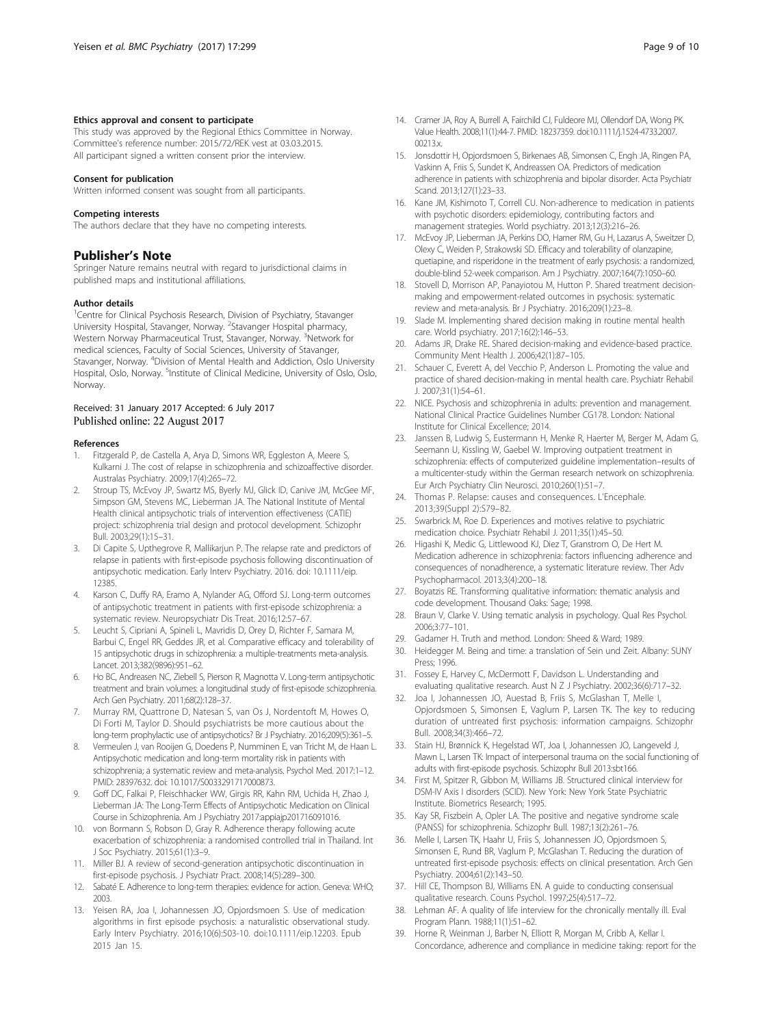#### <span id="page-8-0"></span>Ethics approval and consent to participate

This study was approved by the Regional Ethics Committee in Norway. Committee's reference number: 2015/72/REK vest at 03.03.2015. All participant signed a written consent prior the interview.

#### Consent for publication

Written informed consent was sought from all participants.

#### Competing interests

The authors declare that they have no competing interests.

#### Publisher's Note

Springer Nature remains neutral with regard to jurisdictional claims in published maps and institutional affiliations.

#### Author details

<sup>1</sup>Centre for Clinical Psychosis Research, Division of Psychiatry, Stavanger University Hospital, Stavanger, Norway. <sup>2</sup>Stavanger Hospital pharmacy, Western Norway Pharmaceutical Trust, Stavanger, Norway. <sup>3</sup>Network for medical sciences, Faculty of Social Sciences, University of Stavanger, Stavanger, Norway. <sup>4</sup>Division of Mental Health and Addiction, Oslo University Hospital, Oslo, Norway. <sup>5</sup>Institute of Clinical Medicine, University of Oslo, Oslo, Norway.

# Received: 31 January 2017 Accepted: 6 July 2017 Published online: 22 August 2017

#### References

- 1. Fitzgerald P, de Castella A, Arya D, Simons WR, Eggleston A, Meere S, Kulkarni J. The cost of relapse in schizophrenia and schizoaffective disorder. Australas Psychiatry. 2009;17(4):265–72.
- Stroup TS, McEvoy JP, Swartz MS, Byerly MJ, Glick ID, Canive JM, McGee MF, Simpson GM, Stevens MC, Lieberman JA. The National Institute of Mental Health clinical antipsychotic trials of intervention effectiveness (CATIE) project: schizophrenia trial design and protocol development. Schizophr Bull. 2003;29(1):15–31.
- 3. Di Capite S, Upthegrove R, Mallikarjun P. The relapse rate and predictors of relapse in patients with first-episode psychosis following discontinuation of antipsychotic medication. Early Interv Psychiatry. 2016. doi: [10.1111/eip.](http://dx.doi.org/10.1111/eip.12385) [12385.](http://dx.doi.org/10.1111/eip.12385)
- Karson C, Duffy RA, Eramo A, Nylander AG, Offord SJ. Long-term outcomes of antipsychotic treatment in patients with first-episode schizophrenia: a systematic review. Neuropsychiatr Dis Treat. 2016;12:57–67.
- 5. Leucht S, Cipriani A, Spineli L, Mavridis D, Orey D, Richter F, Samara M, Barbui C, Engel RR, Geddes JR, et al. Comparative efficacy and tolerability of 15 antipsychotic drugs in schizophrenia: a multiple-treatments meta-analysis. Lancet. 2013;382(9896):951–62.
- 6. Ho BC, Andreasen NC, Ziebell S, Pierson R, Magnotta V. Long-term antipsychotic treatment and brain volumes: a longitudinal study of first-episode schizophrenia. Arch Gen Psychiatry. 2011;68(2):128–37.
- 7. Murray RM, Quattrone D, Natesan S, van Os J, Nordentoft M, Howes O, Di Forti M, Taylor D. Should psychiatrists be more cautious about the long-term prophylactic use of antipsychotics? Br J Psychiatry. 2016;209(5):361–5.
- 8. Vermeulen J, van Rooijen G, Doedens P, Numminen E, van Tricht M, de Haan L. Antipsychotic medication and long-term mortality risk in patients with schizophrenia; a systematic review and meta-analysis. Psychol Med. 2017:1–12. PMID: 28397632. doi: [10.1017/S0033291717000873.](http://dx.doi.org/10.1017/S0033291717000873)
- 9. Goff DC, Falkai P, Fleischhacker WW, Girgis RR, Kahn RM, Uchida H, Zhao J, Lieberman JA: The Long-Term Effects of Antipsychotic Medication on Clinical Course in Schizophrenia. Am J Psychiatry 2017:appiajp201716091016.
- 10. von Bormann S, Robson D, Gray R. Adherence therapy following acute exacerbation of schizophrenia: a randomised controlled trial in Thailand. Int J Soc Psychiatry. 2015;61(1):3–9.
- 11. Miller BJ. A review of second-generation antipsychotic discontinuation in first-episode psychosis. J Psychiatr Pract. 2008;14(5):289–300.
- 12. Sabaté E. Adherence to long-term therapies: evidence for action. Geneva: WHO; 2003.
- 13. Yeisen RA, Joa I, Johannessen JO, Opjordsmoen S. Use of medication algorithms in first episode psychosis: a naturalistic observational study. Early Interv Psychiatry. 2016;10(6):503-10. doi[:10.1111/eip.12203.](http://dx.doi.org/10.1111/eip.12203) Epub 2015 Jan 15.
- 14. Cramer JA, Roy A, Burrell A, Fairchild CJ, Fuldeore MJ, Ollendorf DA, Wong PK. Value Health. 2008;11(1):44-7. PMID: 18237359. doi[:10.1111/j.1524-4733.2007.](http://dx.doi.org/10.1111/j.1524-4733.2007.00213.x) [00213.x.](http://dx.doi.org/10.1111/j.1524-4733.2007.00213.x)
- 15. Jonsdottir H, Opjordsmoen S, Birkenaes AB, Simonsen C, Engh JA, Ringen PA, Vaskinn A, Friis S, Sundet K, Andreassen OA. Predictors of medication adherence in patients with schizophrenia and bipolar disorder. Acta Psychiatr Scand. 2013;127(1):23–33.
- 16. Kane JM, Kishimoto T, Correll CU. Non-adherence to medication in patients with psychotic disorders: epidemiology, contributing factors and management strategies. World psychiatry. 2013;12(3):216–26.
- 17. McEvoy JP, Lieberman JA, Perkins DO, Hamer RM, Gu H, Lazarus A, Sweitzer D, Olexy C, Weiden P, Strakowski SD. Efficacy and tolerability of olanzapine, quetiapine, and risperidone in the treatment of early psychosis: a randomized, double-blind 52-week comparison. Am J Psychiatry. 2007;164(7):1050–60.
- 18. Stovell D, Morrison AP, Panayiotou M, Hutton P. Shared treatment decisionmaking and empowerment-related outcomes in psychosis: systematic review and meta-analysis. Br J Psychiatry. 2016;209(1):23–8.
- 19. Slade M. Implementing shared decision making in routine mental health care. World psychiatry. 2017;16(2):146–53.
- 20. Adams JR, Drake RE. Shared decision-making and evidence-based practice. Community Ment Health J. 2006;42(1):87–105.
- 21. Schauer C, Everett A, del Vecchio P, Anderson L. Promoting the value and practice of shared decision-making in mental health care. Psychiatr Rehabil J. 2007;31(1):54–61.
- 22. NICE. Psychosis and schizophrenia in adults: prevention and management. National Clinical Practice Guidelines Number CG178. London: National Institute for Clinical Excellence; 2014.
- 23. Janssen B, Ludwig S, Eustermann H, Menke R, Haerter M, Berger M, Adam G, Seemann U, Kissling W, Gaebel W. Improving outpatient treatment in schizophrenia: effects of computerized guideline implementation–results of a multicenter-study within the German research network on schizophrenia. Eur Arch Psychiatry Clin Neurosci. 2010;260(1):51–7.
- 24. Thomas P. Relapse: causes and consequences. L'Encephale. 2013;39(Suppl 2):S79–82.
- 25. Swarbrick M, Roe D. Experiences and motives relative to psychiatric medication choice. Psychiatr Rehabil J. 2011;35(1):45–50.
- 26. Higashi K, Medic G, Littlewood KJ, Diez T, Granstrom O, De Hert M. Medication adherence in schizophrenia: factors influencing adherence and consequences of nonadherence, a systematic literature review. Ther Adv Psychopharmacol. 2013;3(4):200–18.
- 27. Boyatzis RE. Transforming qualitative information: thematic analysis and code development. Thousand Oaks: Sage; 1998.
- 28. Braun V, Clarke V. Using tematic analysis in psychology. Qual Res Psychol. 2006;3:77–101.
- 29. Gadamer H. Truth and method. London: Sheed & Ward; 1989.
- 30. Heidegger M. Being and time: a translation of Sein und Zeit. Albany: SUNY Press; 1996.
- 31. Fossey E, Harvey C, McDermott F, Davidson L. Understanding and evaluating qualitative research. Aust N Z J Psychiatry. 2002;36(6):717–32.
- 32. Joa I, Johannessen JO, Auestad B, Friis S, McGlashan T, Melle I, Opjordsmoen S, Simonsen E, Vaglum P, Larsen TK. The key to reducing duration of untreated first psychosis: information campaigns. Schizophr Bull. 2008;34(3):466–72.
- 33. Stain HJ, Brønnick K, Hegelstad WT, Joa I, Johannessen JO, Langeveld J, Mawn L, Larsen TK: Impact of interpersonal trauma on the social functioning of adults with first-episode psychosis. Schizophr Bull 2013:sbt166.
- 34. First M, Spitzer R, Gibbon M, Williams JB. Structured clinical interview for DSM-IV Axis I disorders (SCID). New York: New York State Psychiatric Institute. Biometrics Research; 1995.
- 35. Kay SR, Fiszbein A, Opler LA. The positive and negative syndrome scale (PANSS) for schizophrenia. Schizophr Bull. 1987;13(2):261–76.
- 36. Melle I, Larsen TK, Haahr U, Friis S, Johannessen JO, Opjordsmoen S, Simonsen E, Rund BR, Vaglum P, McGlashan T. Reducing the duration of untreated first-episode psychosis: effects on clinical presentation. Arch Gen Psychiatry. 2004;61(2):143–50.
- 37. Hill CE, Thompson BJ, Williams EN. A guide to conducting consensual qualitative research. Couns Psychol. 1997;25(4):517–72.
- Lehman AF. A quality of life interview for the chronically mentally ill. Eval Program Plann. 1988;11(1):51–62.
- 39. Horne R, Weinman J, Barber N, Elliott R, Morgan M, Cribb A, Kellar I. Concordance, adherence and compliance in medicine taking: report for the